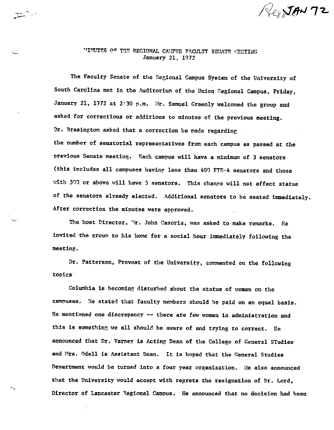# $\sqrt{2}$  JAN 72

### "INUTES OF THE REGIONAL CAMPUS FACULTY SENATE MEETING January 21, 1972

,-..-- ~-

The Faculty Senate of the Regional Campus System of the University of South Carolina met in the Auditorium of the Union Regional Campus, Friday, January 21, 1972 at 2:30 p.m. Mr. Samuel Greenly welcomed the group and asked for corrections or additions to minutes of the previous meeting. Dr. Brasington asked that a correction be made regarding the number of senatorial representatives from each campus as passed at the previous Senate meeting. Each campus will have a minimum of 3 senators (this includes all campuses having less than  $400$  FTE-4 senators and those with 500 or above will have 5 senators. This change will not affect status of the senators already elected. Additional senators to he seated immediately. After correction the minutes were approved.

The host Director, <sup>\*</sup>'. John Casoria, was asked to make remarks. He invited the group to his home for a social hour innnediately following the meeting.

Dr. Patterson, Provost of the University, commented on the following topics·

Columbia is becoming disturbed about the statue of women on the campuses. He stated that faculty members should be paid on an equal basis. He mentioned one discrepancy -- there are few women in administration and this is something we all should he aware of and trying to correct. He announced that Dr. Varney is Acting Dean of the College of General STudies and Hrs. Odell is Assistant Dean. It is hoped that the General Studies nepartment would be turned into a four year organization. lle also announced that the University would accept with regrets the resignation of Dr. Lord, Director of Lancaster Regional Campus. He announced that no decision had been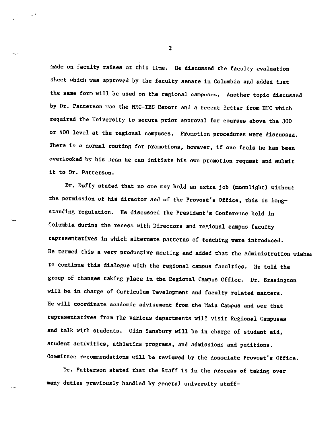made on faculty raises at this time. He discussed the faculty evaluation sheet which was approved by the faculty senate in Columbia and added that the same form will be used on the regional campuses. Another topic discussed by Dr. Patterson was the HEC-TEC Report and a recent letter from HEC which required the University to secure prior approval for courses above the <sup>300</sup> or 400 level at the regional campuses. Promotion procedures **were** discussed. There is a normal routing for promotions, however, if one feels he has been overlooked by his Dean he can initiate his own promotion request and submit it to Dr, Patterson.

Dr. Duffy stated that no one may hold an extra job (moonlight) without the permission of his director and of the Provost's Office, this is longstanding regulation. He discussed the President's Conference held in Columbia during the recess with Directors and regional campus faculty representatives in which alternate patterns of teaching were introduced. He termed this a very productive meeting and added that the Administration wishes to continue this dialogue with the regional campus faculties. He told the group of changes taking place in the Regional Campus Office. Dr. Brasington will be in charge of Curriculum Development and faculty related matters. He will coordinate academic advisement from the Main Campus and see that representatives from the various departments will visit Regional Campuses and talk with students. Olin Sansbury will be in charge of student aid, student activities, athletics programs, and admissions and petitions. Committee recommendations will be reviewed by the Associate Provost's Office.

Dr. Patterson stated that the Staff is in the process of taking over many duties previously handled by general university staff-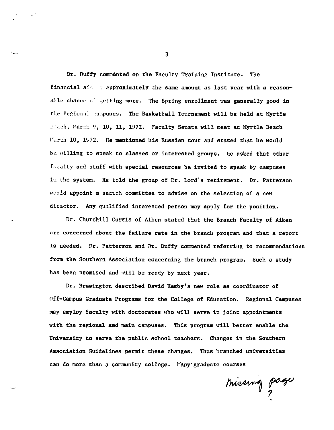Dr. Duffy commented on the Faculty Training Institute. The financial ai-. It approximately the same amount as last year with a reasonable chance of getting more. The Spring enrollment was generally good in the Pegional campuses. The Basketball Tournament will be held at Myrtle Brach, March 9, 10, 11, 1972. Faculty Senate will meet at Myrtle Beach March 10, 1972. He mentioned his Russian tour and stated that he would be willing to speak to classes or interested groups. He asked that other faculty and staff with special resources be invited to speak by campuses in the system. He told the group of Dr. Lord's retirement. Dr. Patterson would appoint a search committee to advise on the selection of a new director. Any qualified interested person may apply for the position.

Dr. Churchill Curtis of Aiken stated that the Branch Faculty of Aiken are concerned about the failure rate in the branch program and that a report is needed. Dr. Patterson and Dr. Duffy commented referring to recommendations from the Southern Association concerning the branch program. Such a study has been promised and will be ready by next year.

Dr. Brasington described David Hamby's new role as coordinator of Off-Campus Graduate Programs for the College of Education. Regional Campuses may employ faculty with doctorates who will serve in joint appointments with the regional amd main campuses. This program will better enable the University to serve the public school teachers. Changes in the Southern Association Guidelines permit these changes, Thus branched universities can do more than a community college. Many graduate courses

·-·

missing page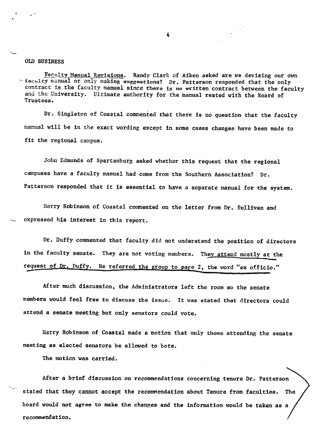### OLD BUSINESS

Eaculty Manual Revisions. Randy Clark of Aiken asked are we devising our own  $\cdot$  faculty manual or only making suggestions? Dr. Patterson responded that the only contract is the faculty manual since there is no written contract between the faculty and the University. Ultimate authority for the manual rested with the Board of Trustees.

Dr. Singleton of Coastal commented that there is no question that the faculty manual will be in the exact wording except in some cases changes have been made to fit the regional campus.

John Edmunds of Spartanburg asked whether this request that the regional campuses have a faculty manual had come from the Southern Association? Dr. Patterson responded that it is essential to have a separate manual for the system.

Harry Robinson of Coastal commented on the letter from Dr. Sullivan and expressed his interest in this report.

Dr. Duffy commented that faculty did not understand the position of directors in the faculty senate. They are not voting members. They attend mostly at the request of Dr. Duffy. He referred the group to page 2, the word "ex officio."

After much discussion, the Administrators left the room so the senate members would feel free to discuss the issue. It was stated that directors could attend a senate meeting but only senators could vote.

Harry Robinson of Coastal made a motion that only those attending the senate meeting as elected senators be allowed to bote.

The motion was carried.

After a brief discussion on recommendations concerning tenure Dr. Patterson stated that they cannot accept the recommendation about Tenure from faculties, **The** board would not agree to make the chanr,es and the information would be taken as a recommendation.

4

 $\sim$   $^{\prime}$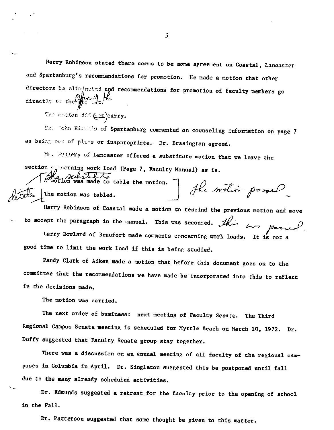Harry Robinson stated there seems to be some agreement on Coastal, Lancaster and Spartanburg's recommendations for promotion. He made a motion that other directors be eliminated and recommendations for promotion of faculty members go directly to the  $\frac{1}{\sqrt{2}}$ .

The motion 4:4 (ast)carry.

r:c -r:}hn Ed.:.~----•.1s **of Spartanburg commented on counseling information on page <sup>7</sup>** as being ove of place or inappropriate. Dr. Brasington agreed.

Mr. Exmery of Lancaster offered a substitute motion that we leave the section  $\int_{\partial}$  carning work load (Page 7, Faculty Manual) as is. The substitute the motion.

 $\sqrt{4\pi}$   $\sqrt{3}$  The motion was tabled.

 $t$   $\mathcal{U}$  and  $\mathcal{U}$   $\mathcal{U}$ "

Harry Robinson of Coastal made a motion to rescind the previous motion and move to accept the paragraph in the manual. This was seconded.  $\mathcal{A}$ , Larry Rowland of Beaufort made comments concerning work loads. It is not a ~~-

good time to limit the work load if this is being studied.

Randy Clark of Aiken made a motion that before this document goes on to the committee that the recommendations we have made be incorporated into this to reflect in the decisions made.

The motion was carried.

The next order of business: next meeting of Faculty Senate. The Third Regional Campus Senate meeting is scheduled for Myrtle Beach on March 10, 1972. Dr. Duffy suggested that Faculty Senate group stay together.

There was a discussion on an annual meeting of all faculty of the regional campuses in Columbia in April. Dr. Singleton suggested this be postponed until fall due to the many already scheduled activities.

Dr. Edmunds suggested a retreat for the faculty prior to the opening of school in the Fall.

Dr. Patterson suggested that some thought be given to this matter.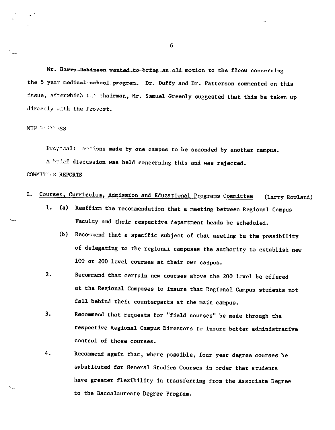Mr. Harry-Robinson wanted to bring an old motion to the floow concerning the 5 year medical school program. Dr. Duffy and Dr. Patterson commented on this issue, afterwhich the chairman, Mr. Samuel Greenly suggested that this be taken up directly with the Provost.

#### NEW BUSINESS

Propasal: motions made by one campus to be seconded by another campus.

A brief discussion was held concerning this and was rejected.

### COMMITTEE REPORTS

- I. Courses, Curriculum, Admission and Educational Programs Committee (Larry Rowland)
	- 1. (a) Reaffirm the recommendation that a meeting between Regional Campus Faculty and their respective department heads be scheduled.
		- (b) Recommend that a specific subject of that meeting be the possibility of delegating to the regional campuses the authority to establish new 100 or 200 level courses at their own canpus.
	- 2. Recommend that certain new courses above the 200 level be offered at the Regional Campuses to insure that Regional Campus students not fall behind their counterparts at the main campus.
	- 3. Recommend that requests for "field courses" be made through the respective Regional Campus Directors to insure better administrative control of those courses.
	- 4. Recommend again that, where possible, four year degree courses be substituted for General Studies Courses in order that students have greater flexibility in transferring from the Associate Degree. to the Baccalaureate Degree Program.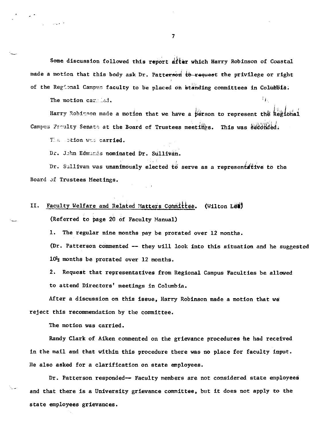Some discussion followed this report after which Harry Robinson of Coastal made a motion that this body ask Dr. Patterson to request the privilege or right of the Regional Campus faculty to be placed on standing committees in Columbia.

The motion carried.  $\mathbf{F}$ 

Harry Robi~~on made a motion that we have a person to represent the Regional Campus Faculty Senate at the Board of Trustees meetings. This was seconded.

The sotion was carried.

Dr. John Edmands nominated Dr. Sullivan.

Dr. Sullivan was unanimously elected to serve as a representative to the Board Jf Trustees Meetings.

# II. Faculty Welfare and Related Matters Committee. (Wilton Let) (Referred to page 20 of Faculty Manual)

1. The regular nine months pay be prorated over 12 months.

(Dr. Patterson commented -- they will look into this situation and he suggested  $10\frac{1}{2}$  months be prorated over 12 months.

2. Request that representatives from Regional Campus Faculties be allowed to attend Directors' meetings in Columbia.

After a discussion on this issue, Harry Robinson made a motion that we reject this recommendation by the committee.

The motion was carried.

Randy Clark of Aiken commented on the grievance procedures he had received in the mail and that within this procedure there was no place for faculty input. He also asked for a clarification on state employees.

Dr. Patterson responded-- Faculty members are not considered state employees and that there is a University grievance committee, but it does not apply to the state employees grievances.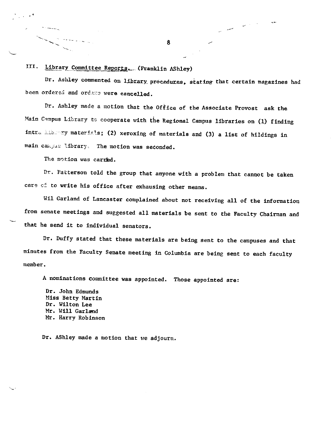III. Library Committee Reports. (Franklin AShley)

Dr. Ashley commented on library procedures, stating that certain magazines had been ordered and ordexs were cancelled.

Dr. Ashley made a motion that the Office of the Associate Provost ask the Main Campus Library to cooperate with the Regional Campus libraries on (1) finding intra *library* materials; (2) xeroxing of materials and (3) a list of hildings in main campus library. The motion was seconded.

The motion was carried.

-.,

راني سيتجار الأ

 $\mathcal{H}_{\infty}$ 

المستدرج

Dr. Patterson told the group that anyone with a problem that cannot be taken care of to write his office after exhausing other means.

Wil Garland of Lancaster complained about not receiving all of the information from senate meetings and suggested all materials be sent to the Faculty Chairman and that he send it to individual senators.

Dr. Duffy stated that these materials are being sent to the campuses and that minutes from the Faculty Senate meeting in Columbia are being sent to each faculty member.

<sup>A</sup>nominations committee was appointed. Those appointed are:

Dr. John Edmunds Miss Betty Martin Dr. Wilton Lee Mr. Will Garland Mr. Harry Robinson

Dr. AShley made a motion that we adjourn.

8

---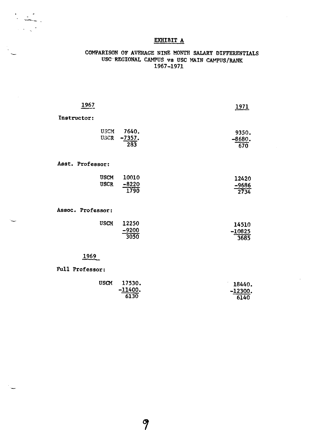# EXHIBIT A

## COMPARISON OF AVERAGE NINE MONTH SALARY DIFFERENTIALS USC-REGIONAL CAMPUS vs USC MAIN CAMPUS/RANK 1967-1971

| 1967                       |                          | 1971                                  |  |  |
|----------------------------|--------------------------|---------------------------------------|--|--|
| Instructor:                |                          |                                       |  |  |
| <b>USCM</b><br><b>USCR</b> | 7640.<br>$-7357.$<br>283 | 9350.<br>$-8680.$<br>$\overline{670}$ |  |  |
| Asst. Professor:           |                          |                                       |  |  |
| <b>USCM</b><br><b>USCR</b> | 10010<br>$-8220$<br>1790 | 12420<br>$-9686$<br>2734              |  |  |
| Assoc. Professor:          |                          |                                       |  |  |
| <b>USCM</b>                | 12250<br>$-9200$<br>3050 | 14510<br>$-10825$<br>3685             |  |  |

# 1969

### Full Professor:

--·-.

| <b>USCM</b> | 17530.                                                                                               | 18440.    |
|-------------|------------------------------------------------------------------------------------------------------|-----------|
|             | $-11400.$<br>designation of the constant contract of the contract of the contract of the contract of | $-12300.$ |
|             | 6130                                                                                                 | 6140      |

 $\mathcal{P}$